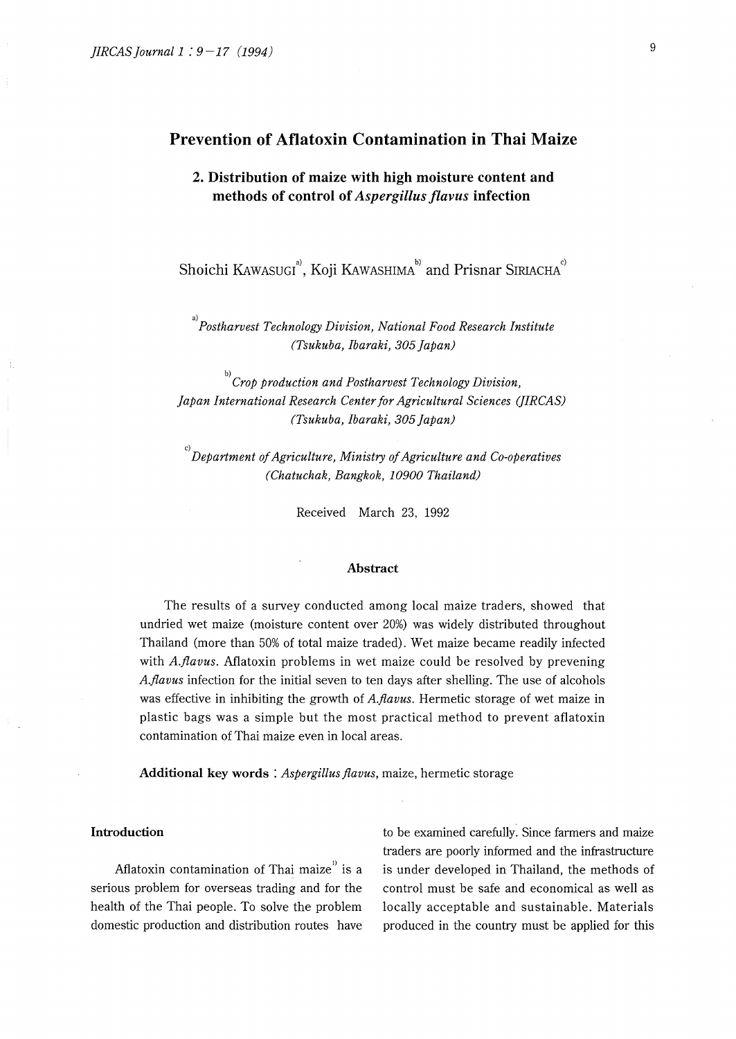# **Prevention of Aflatoxin Contamination in Thai Maize**

# **2. Distribution of maize with high moisture content and methods of control of** *Aspergillus flavus* **infection**

Shoichi KAWASUGI<sup>3</sup>, Koji KAWASHIMA<sup>b)</sup> and Prisnar SIRIACHA<sup>c</sup>

a)<br>Postharvest Technology Division, National Food Research Institute *(Tsukuba, Ibaraki, 305 Japan)* 

b) *Crop production and Postharvest Technology Division, Japan International Research Center for Agricultural Sciences (]IRCAS) (Tsukuba, Ibaraki, 305 Japan)* 

c) *Department of Agriculture, Ministry of Agriculture and Co-operatives (Chatuchak, Bangkok, 10900 Thailand)* 

Received March 23, 1992

### **Abstract**

The results of a survey conducted among local maize traders, showed that undried wet maize (moisture content over 20%) was widely distributed throughout Thailand (more than 50% of total maize traded). Wet maize became readily infected with *A.flavus.* Aflatoxin problems in wet maize could be resolved by prevening *A.flavus* infection for the initial seven to ten days after shelling. The use of alcohols was effective in inhibiting the growth of *A.flavus*. Hermetic storage of wet maize in plastic bags was a simple but the most practical method to prevent aflatoxin contamination of Thai maize even in local areas.

**Additional key words** : *Aspergillus flavus,* maize, hermetic storage

### **Introduction**

Aflatoxin contamination of Thai maize<sup>11</sup> is a serious problem for overseas trading and for the health of the Thai people. To solve the problem domestic production and distribution routes have

to be examined carefully. Since farmers and maize traders are poorly informed and the infrastructure is under developed in Thailand, the methods of control must be safe and economical as well as locally acceptable and sustainable. Materials produced in the country must be applied for this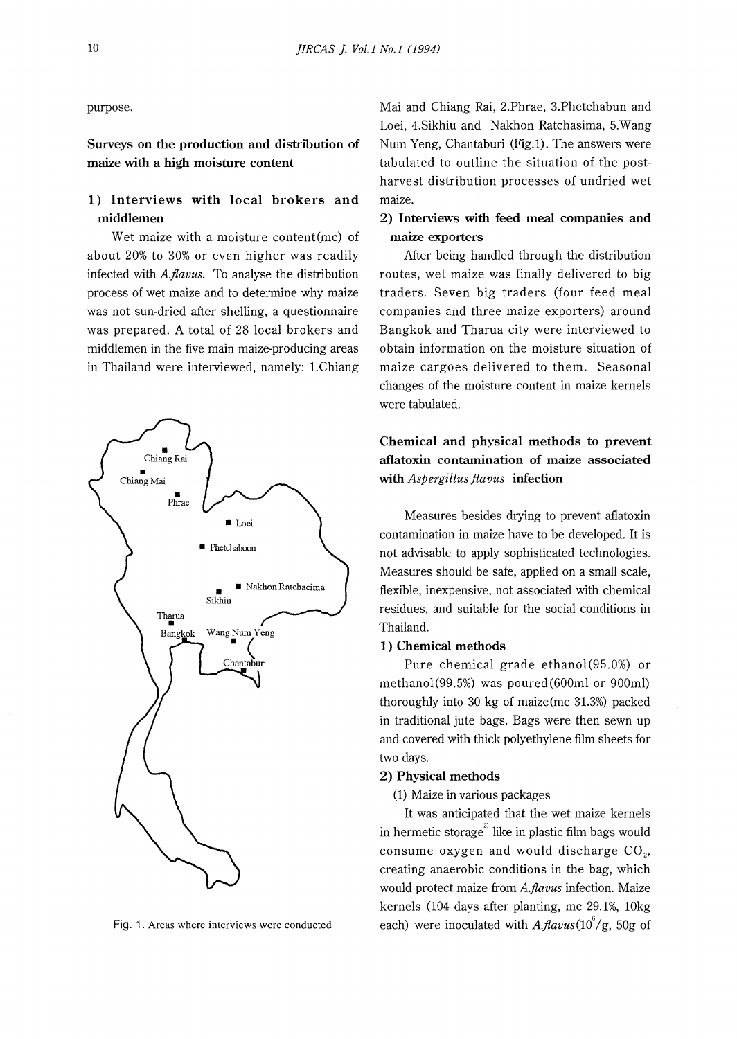# **1) Interviews with local brokers and middlemen**

Wet maize with a moisture content(mc) of about 20% to 30% or even higher was readily infected with *A.flavus.* To analyse the distribution process of wet maize and to determine why maize was not sun-dried after shelling, a questionnaire was prepared. A total of 28 local brokers and middlemen in the five main maize-producing areas in Thailand were interviewed, namely: 1.Chiang



Fig. 1. Areas where interviews were conducted

purpose. Mai and Chiang Rai, 2.Phrae, 3.Phetchabun and Loei, 4.Sikhiu and Nakhon Ratchasima, 5.Wang **Surveys on the production and distribution of** Num Yeng, Chantaburi (Fig.1). The answers were **maize with a high moisture content** tabulated to outline the situation of the postharvest distribution processes of undried wet maize.

### **2) Interviews with feed meal companies and maize exporters**

After being handled through the distribution routes, wet maize was finally delivered to big traders. Seven big traders (four feed meal companies and three maize exporters) around Bangkok and Tharua city were interviewed to obtain information on the moisture situation of maize cargoes delivered to them. Seasonal changes of the moisture content in maize kernels were tabulated.

# **Chemical and physical methods to prevent aflatoxin contamination of maize associated with** *Aspergillus flavus* **infection**

Measures besides drying to prevent aflatoxin contamination in maize have to be developed. It is not advisable to apply sophisticated technologies. Measures should be safe, applied on a small scale, flexible, inexpensive, not associated with chemical residues, and suitable for the social conditions in Thailand.

### **1) Chemical methods**

Pure chemical grade ethanol (95.0%) or methanol(99.5%) was poured(600ml or 900ml) thoroughly into 30 kg of maize(mc 31.3%) packed in traditional jute bags. Bags were then sewn up and covered with thick polyethylene film sheets for two days.

#### **2) Physical methods**

(1) Maize in various packages

It was anticipated that the wet maize kernels in hermetic storage $^{\mathrm{2}}$  like in plastic film bags would consume oxygen and would discharge  $CO<sub>2</sub>$ , creating anaerobic conditions in the bag, which would protect maize from *A.fiavus* infection. Maize kernels (104 days after planting, me 29.1%, 10kg each) were inoculated with *A.flavus*(10<sup>6</sup>/g, 50g of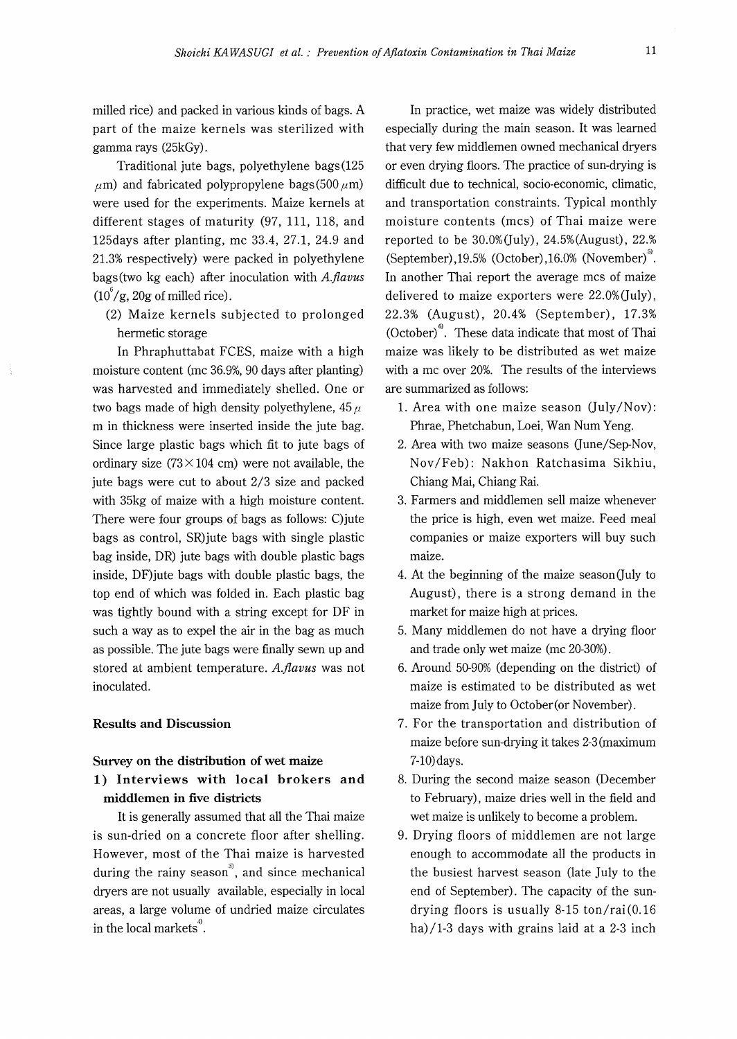milled rice) and packed in various kinds of bags. A part of the maize kernels was sterilized with gamma rays (25kGy).

Traditional jute bags, polyethylene bags(125  $\mu$ m) and fabricated polypropylene bags(500  $\mu$ m) were used for the experiments. Maize kernels at different stages of maturity (97, 111, 118, and 125days after planting, me 33.4, 27.1, 24.9 and 21.3% respectively) were packed in polyethylene bags(two kg each) after inoculation with *A.flavus*   $(10^6/g, 20g$  of milled rice).

(2) Maize kernels subjected to prolonged hermetic storage

In Phraphuttabat FCES, maize with a high moisture content (me 36.9%, 90 days after planting) was harvested and immediately shelled. One or two bags made of high density polyethylene, 45 *µ*  m in thickness were inserted inside the jute bag. Since large plastic bags which fit to jute bags of ordinary size  $(73 \times 104 \text{ cm})$  were not available, the jute bags were cut to about 2/3 size and packed with 35kg of maize with a high moisture content. There were four groups of bags as follows: C)jute bags as control, SR)jute bags with single plastic bag inside, DR) jute bags with double plastic bags inside, DF)jute bags with double plastic bags, the top end of which was folded in. Each plastic bag was tightly bound with a string except for DF in such a way as to expel the air in the bag as much as possible. The jute bags were finally sewn up and stored at ambient temperature. *A.flavus* was not inoculated.

### **Results and Discussion**

## **Survey on the distribution of wet maize 1) Interviews with local brokers and middlemen in five districts**

It is generally assumed that all the Thai maize is sun-dried on a concrete floor after shelling. However, most of the Thai maize is harvested during the rainy season<sup>3</sup>, and since mechanical dryers are not usually available, especially in local areas, a large volume of undried maize circulates in the local markets $\degree$ .

In practice, wet maize was widely distributed especially during the main season. It was learned that very few middlemen owned mechanical dryers or even drying floors. The practice of sun-drying is difficult due to technical, socio-economic, climatic, and transportation constraints. Typical monthly moisture contents (mes) of Thai maize were reported to be  $30.0\%$  (July),  $24.5\%$  (August),  $22.$ % (September),19.5% (October),16.0% (November)<sup>5</sup>. In another Thai report the average mes of maize delivered to maize exporters were  $22.0\%$ (July), 22.3% (August), 20.4% (September), 17 .3% (October) $\degree$ . These data indicate that most of Thai maize was likely to be distributed as wet maize with a me over 20%. The results of the interviews are summarized as follows:

- l. Area with one maize season (July/Nov): Phrae, Phetchabun, Loei, Wan Num Yeng.
- 2. Area with two maize seasons Qune/Sep-Nov, Nov/Feb): Nakhon Ratchasima Sikhiu, Chiang Mai, Chiang Rai.
- 3. Farmers and middlemen sell maize whenever the price is high, even wet maize. Feed meal companies or maize exporters will buy such maize.
- 4. At the beginning of the maize season (July to August), there is a strong demand in the market for maize high at prices.
- 5. Many middlemen do not have a drying floor and trade only wet maize (me 20-30%).
- 6. Around 50-90% (depending on the district) of maize is estimated to be distributed as wet maize from July to October(or November).
- 7. For the transportation and distribution of maize before sun-drying it takes 2-3 (maximum 7-lO)days.
- 8. During the second maize season (December to February), maize dries well in the field and wet maize is unlikely to become a problem.
- 9. Drying floors of middlemen are not large enough to accommodate all the products in the busiest harvest season (late July to the end of September). The capacity of the sundrying floors is usually 8-15 ton/rai(0.16 ha)/ $1-3$  days with grains laid at a  $2-3$  inch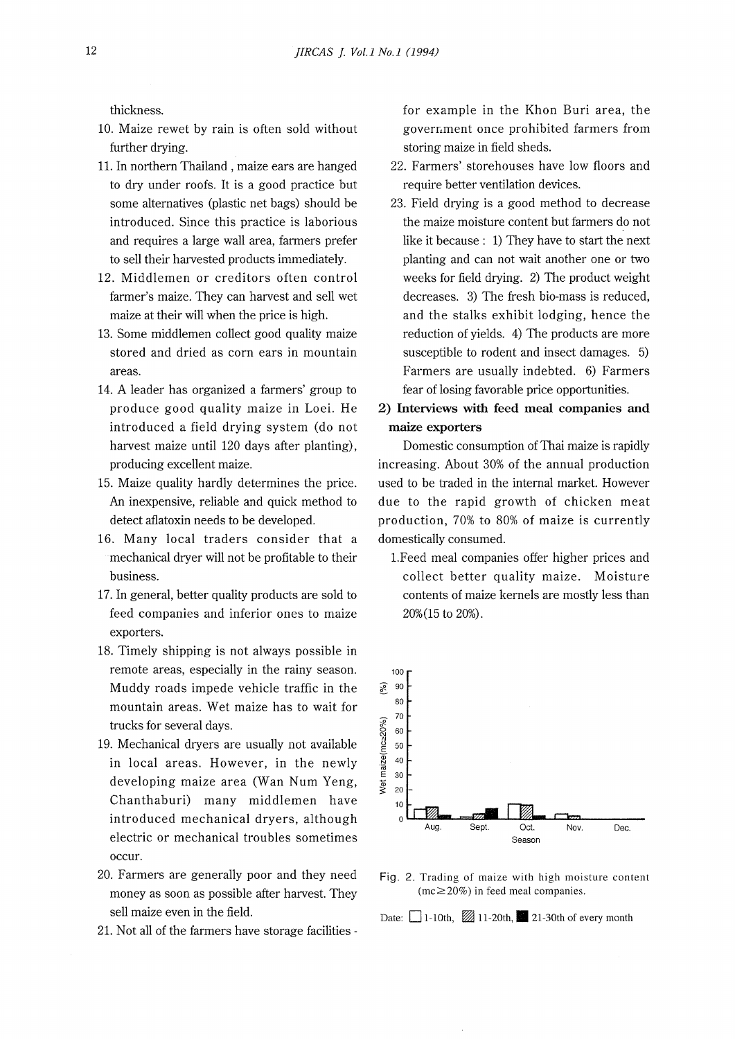thickness.

- 10. Maize rewet by rain is often sold without further drying.
- 11. In northern Thailand , maize ears are hanged to dry under roofs. It is a good practice but some alternatives (plastic net bags) should be introduced. Since this practice is laborious and requires a large wall area, farmers prefer to sell their harvested products immediately.
- 12. Middlemen or creditors often control farmer's maize. They can harvest and sell wet maize at their will when the price is high.
- 13. Some middlemen collect good quality maize stored and dried as corn ears in mountain areas.
- 14. A leader has organized a farmers' group to produce good quality maize in Loei. He introduced a field drying system (do not harvest maize until 120 days after planting), producing excellent maize.
- 15. Maize quality hardly determines the price. An inexpensive, reliable and quick method to detect aflatoxin needs to be developed.
- 16. Many local traders consider that a mechanical dryer will not be profitable to their business.
- 17. In general, better quality products are sold to feed companies and inferior ones to maize exporters.
- 18. Timely shipping is not always possible in remote areas, especially in the rainy season. Muddy roads impede vehicle traffic in the mountain areas. Wet maize has to wait for trucks for several days.
- 19. Mechanical dryers are usually not available in local areas. However, in the newly developing maize area (Wan Num Yeng, Chanthaburi) many middlemen have introduced mechanical dryers, although electric or mechanical troubles sometimes occur.
- 20. Farmers are generally poor and they need money as soon as possible after harvest. They sell maize even in the field.
- 21. Not all of the farmers have storage facilities -

for example in the Khon Buri area, the goverr,ment once prohibited farmers from storing maize in field sheds.

- 22. Farmers' storehouses have low floors and require better ventilation devices.
- 23. Field drying is a good method to decrease the maize moisture content but farmers do not like it because : 1) They have to start the next planting and can not wait another one or two weeks for field drying. 2) The product weight decreases. 3) The fresh bio-mass is reduced, and the stalks exhibit lodging, hence the reduction of yields. 4) The products are more susceptible to rodent and insect damages. 5) Farmers are usually indebted. 6) Farmers fear of losing favorable price opportunities.
- **2) Intetviews with feed meal companies and maize exporters**

Domestic consumption of Thai maize is rapidly increasing. About 30% of the annual production used to be traded in the internal market. However due to the rapid growth of chicken meat production, 70% to 80% of maize is currently domestically consumed.

l.Feed meal companies offer higher prices and collect better quality maize. Moisture contents of maize kernels are mostly less than 20%(15 to 20%).



Fig. 2. Trading of maize with high moisture content  $(mc \ge 20\%)$  in feed meal companies.

Date:  $\Box$  1-10th,  $\Box$  11-20th,  $\Box$  21-30th of every month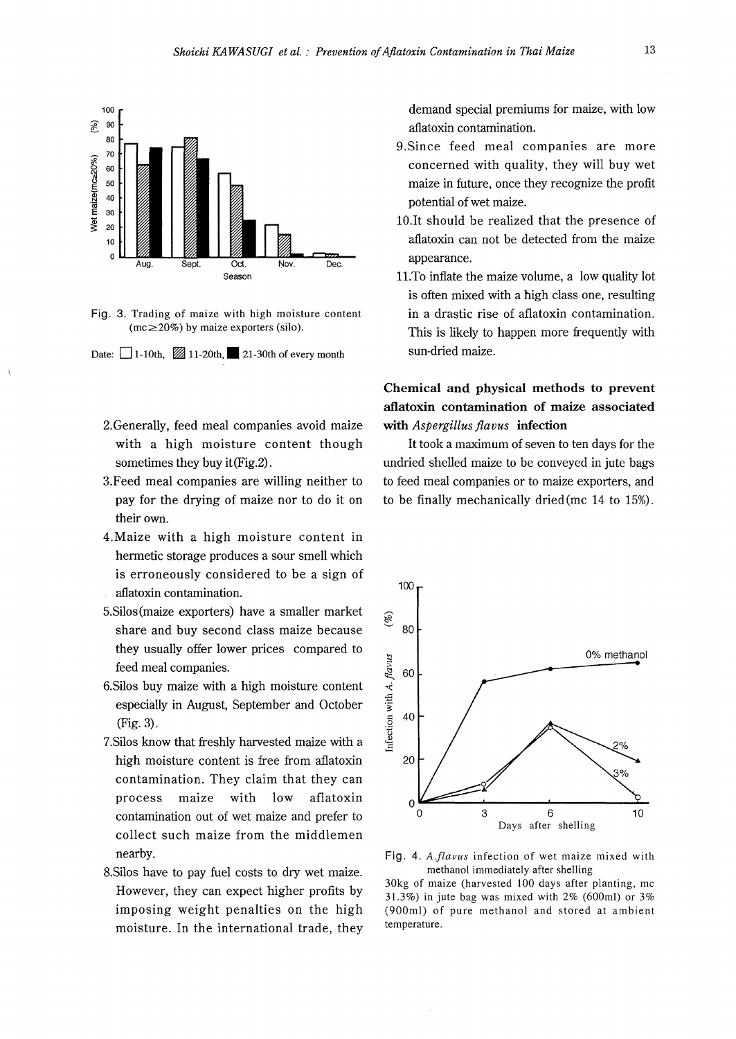

Fig. 3. Trading of maize with high moisture content  $(mc \ge 20\%)$  by maize exporters (silo).



- 2.Generally, feed meal companies avoid maize with a high moisture content though sometimes they buy it(Fig.2).
- 3.Feed meal companies are willing neither to pay for the drying of maize nor to do it on their own.
- 4.Maize with a high moisture content in hermetic storage produces a sour smell which is erroneously considered to be a sign of aflatoxin contamination.
- 5.Silos(maize exporters) have a smaller market share and buy second class maize because they usually offer lower prices compared to feed meal companies.
- 6.Silos buy maize with a high moisture content especially in August, September and October (Fig. 3).
- 7.Silos know that freshly harvested maize with a high moisture content is free from aflatoxin contamination. They claim that they can process maize with low aflatoxin contamination out of wet maize and prefer to collect such maize from the middlemen nearby.
- 8.Silos have to pay fuel costs to dry wet maize. However, they can expect higher profits by imposing weight penalties on the high moisture. In the international trade, they

demand special premiums for maize, with low aflatoxin contamination.

- 9.Since feed meal companies are more concerned with quality, they will buy wet maize in future, once they recognize the profit potential of wet maize.
- 10.It should be realized that the presence of aflatoxin can not be detected from the maize appearance.
- 11.To inflate the maize volume, a low quality lot is often mixed with a high class one, resulting in a drastic rise of aflatoxin contamination. This is likely to happen more frequently with sun-dried maize.

# **Chemical and physical methods to prevent aflatoxin contamination of maize associated with** *Aspergillus flavus* **infection**

It took a maximum of seven to ten days for the undried shelled maize to be conveyed in jute bags to feed meal companies or to maize exporters, and to be finally mechanically dried (me 14 to 15%).



**Fig. 4.** *A.flavus* infection of wet maize mixed with methanol immediately after shelling

30kg of maize (harvested 100 days after planting, me 31.3%) in jute bag was mixed with 2% (600ml) or 3% (900ml) of pure methanol and stored at ambient temperature.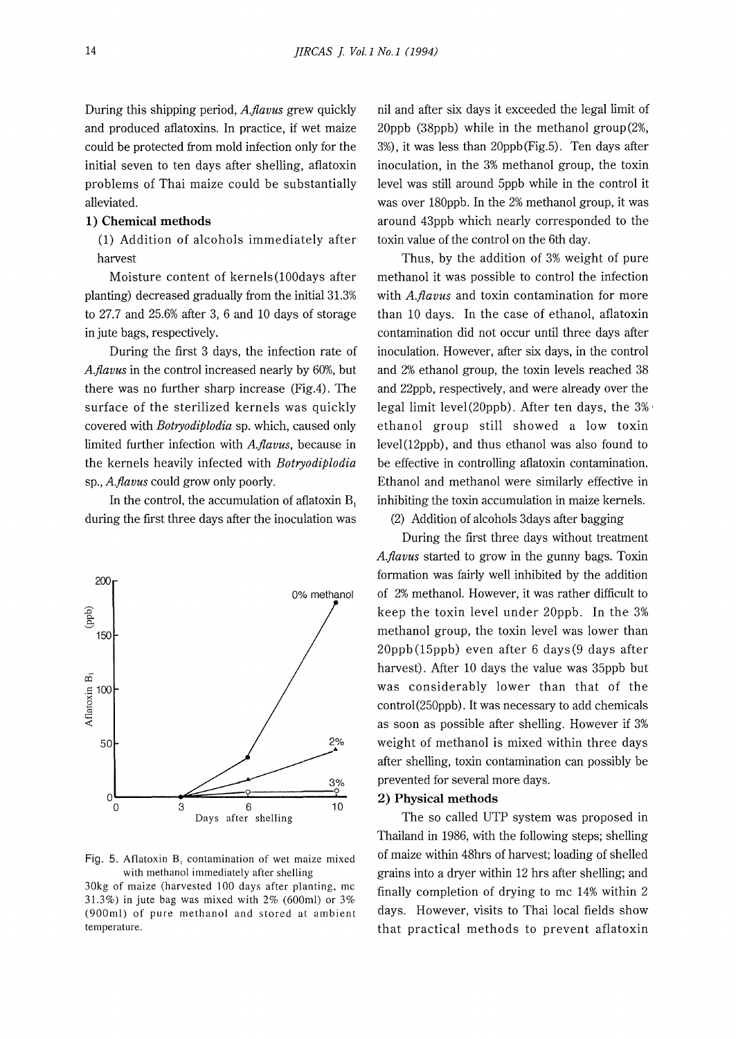During this shipping period, *A.flavus* grew quickly and produced aflatoxins. In practice, if wet maize could be protected from mold infection only for the initial seven to ten days after shelling, aflatoxin problems of Thai maize could be substantially alleviated.

### **1) Chemical methods**

(1) Addition of alcohols immediately after harvest

Moisture content of kernels(lOOdays after planting) decreased gradually from the initial 31.3% to 27.7 and 25.6% after 3, 6 and 10 days of storage in jute bags, respectively.

During the first 3 days, the infection rate of *A.flavus* in the control increased nearly by 60%, but there was no further sharp increase (Fig.4). The surface of the sterilized kernels was quickly covered with *Botryodiplodia* sp. which, caused only limited further infection with *A.flavus,* because in the kernels heavily infected with *Botryodiplodia*  sp., *A.flavus* could grow only poorly.

In the control, the accumulation of aflatoxin  $B_1$ during the first three days after the inoculation was



Fig. 5. Aflatoxin B, contamination of wet maize mixed with methanol immediately after shelling

30kg of maize (harvested 100 days after planting, mc 31.3%) in jute bag was mixed with 2% (600ml) or 3% (900ml) of pure methanol and stored at ambient temperature.

nil and after six days it exceeded the legal limit of 20ppb (38ppb) while in the methanol group(2%, 3%), it was less than 20ppb(Fig.5). Ten days after inoculation, in the 3% methanol group, the toxin level was still around 5ppb while in the control it was over 180ppb. In the 2% methanol group, it was around 43ppb which nearly corresponded to the toxin value of the control on the 6th day.

Thus, by the addition of 3% weight of pure methanol it was possible to control the infection with *A.flavus* and toxin contamination for more than 10 days. In the case of ethanol, aflatoxin contamination did not occur until three days after inoculation. However, after six days, in the control and 2% ethanol group, the toxin levels reached 38 and 22ppb, respectively, and were already over the legal limit level(20ppb). After ten days, the 3% · ethanol group still showed a low toxin level(l2ppb), and thus ethanol was also found to be effective in controlling aflatoxin contamination. Ethanol and methanol were similarly effective in inhibiting the toxin accumulation in maize kernels. (2) Addition of alcohols 3days after bagging

During the first three days without treatment *A.flavus* started to grow in the gunny bags. Toxin formation was fairly well inhibited by the addition of 2% methanol. However, it was rather difficult to keep the toxin level under 20ppb. In the 3% methanol group, the toxin level was lower than 20ppb(15ppb) even after 6 days(9 days after harvest). After 10 days the value was 35ppb but was considerably lower than that of the control (250ppb). It was necessary to add chemicals as soon as possible after shelling. However if 3% weight of methanol is mixed within three days after shelling, toxin contamination can possibly be prevented for several more days.

### **2) Physical methods**

The so called UTP system was proposed in Thailand in 1986, with the following steps; shelling of maize within 48hrs of harvest; loading of shelled grains into a dryer within 12 hrs after shelling; and finally completion of drying to me 14% within 2 days. However, visits to Thai local fields show that practical methods to prevent aflatoxin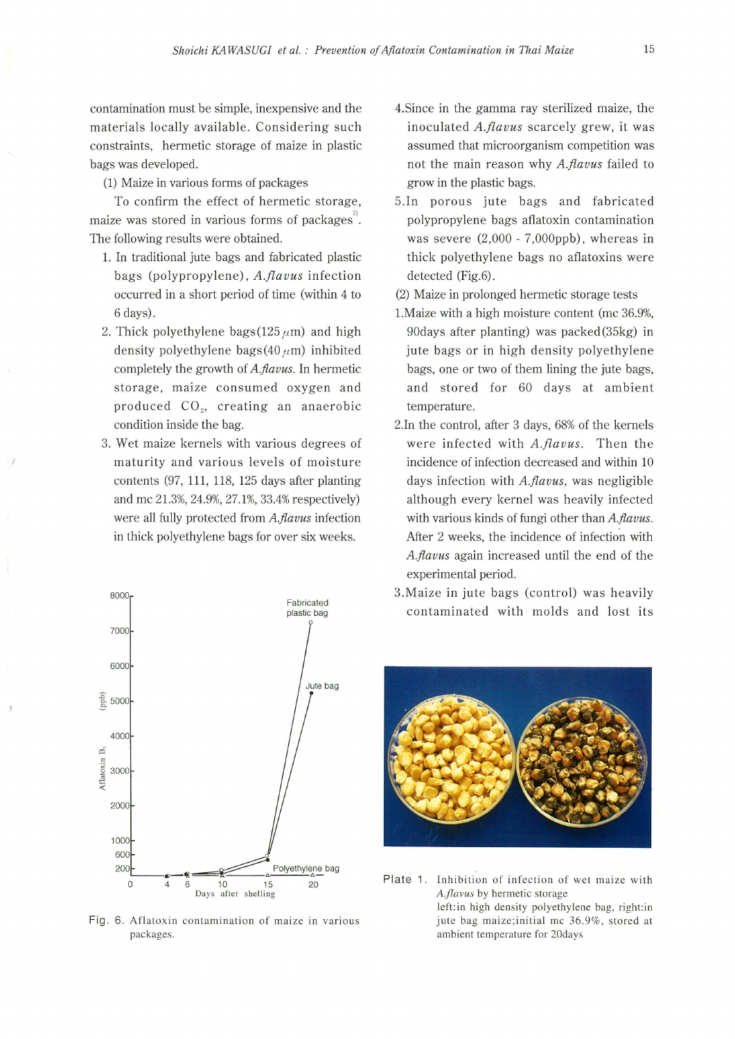contamination must be simple, inexpensive and the materials locally available. Considering such constraints, hermetic storage of maize in plastic bags was developed.

(1) Maize in various forms of packages

To confirm the effect of hermetic storage, maize was stored in various forms of packages". The following results were obtained.

- **1.** In traditional jute bags and fabricated plastic bags (polypropylene), *A.flavus* infection occurred **in** a short period of time (within 4 to 6 days).
- 2. Thick polyethylene bags( $125 \mu m$ ) and high density polyethylene bags( $40 \mu m$ ) inhibited completely the growth of *A.flavus.* In hermetic storage, maize consumed oxygen and produced CO<sub>2</sub>, creating an anaerobic condition inside the bag.
- 3. Wet maize kernels with various degrees of maturity and various levels of moisture contents (97, 111, 118, 125 days after planting and me 21.3%, 24.9%, 27.1%, 33.4% respectively) were all fully protected from *A.flavus* infection **in** thick polyethylene bags for over six weeks.

*I* 



Fig. 6. Aflatoxin contamination of maize in various packages.

- 4.Since in the gamma ray sterilized maize, the inoculated *A.flavus* scarcely grew, it was assumed that microorganism competition was not the main reason why *A.flavus* failed to grow in the plastic bags.
- 5.In porous jute bags and fabricated polypropylene bags aflatoxin contamination was severe (2,000 - 7,000ppb), whereas in thick polyethylene bags no aflatoxins were detected (Fig.6).
- (2) Maize in prolonged hermetic storage tests
- l.Maize with a high moisture content (me 36.9%, 90days after planting) was packed (35kg) in jute bags or in high density polyethylene bags, one or two of them lining the jute bags, and stored for 60 days at ambient temperature.
- 2.In the control, after 3 days, 68% of the kernels were infected with *A.flavus.* Then the incidence of infection decreased and within 10 days infection with *A.flavus,* was negligible although every kernel was heavily infected with various kinds of fungi other than *A.flavus.*  After 2 weeks, the incidence of infection with *A.flavus* again increased until the end of the experimental period.
- 3.Maize in jute bags (control) was heavily contaminated with molds and lost its



Plate 1. Inhibition of infection of wet maize with *A.jlavus* by hermetic storage left:in high density polyethylene bag, right:in jute bag maize;initial me 36.9%, stored at ambient temperature for 20days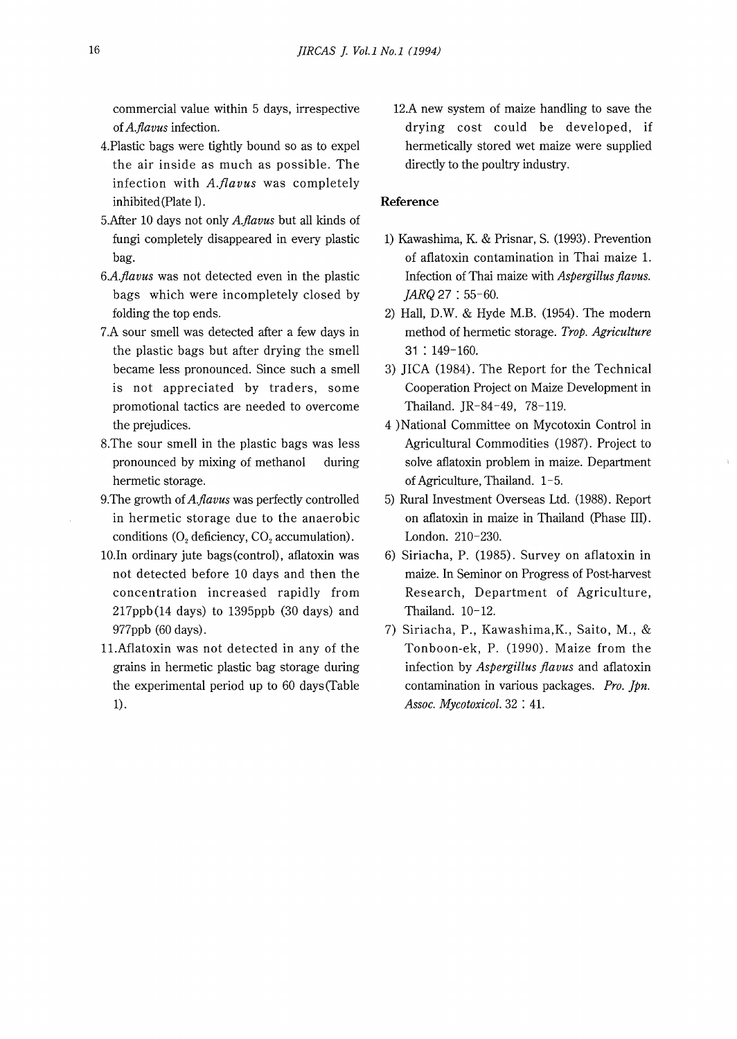commercial value within 5 days, irrespective of *A.flavus* infection.

- 4.Plastic bags were tightly bound so as to expel the air inside as much as possible. The infection with *A.f[avus* was completely inhibited (Plate 1).
- 5.After 10 days not only *A.flavus* but all kinds of fungi completely disappeared in every plastic bag.
- *6A.flavus* was not detected even in the plastic bags which were incompletely closed by folding the top ends.
- 7.A sour smell was detected after a few days in the plastic bags but after drying the smell became less pronounced. Since such a smell is not appreciated by traders, some promotional tactics are needed to overcome the prejudices.
- 8.The sour smell in the plastic bags was less pronounced by mixing of methanol during hermetic storage.
- 9. The growth of A.flavus was perfectly controlled in hermetic storage due to the anaerobic conditions  $(O, \text{deficiency}, \text{CO}, \text{accumulation}).$
- 10.In ordinary jute bags(control), aflatoxin was not detected before 10 days and then the concentration increased rapidly from 217ppb(14 days) to 1395ppb (30 days) and 977ppb (60 days).
- 11.Aflatoxin was not detected in any of the grains in hermetic plastic bag storage during the experimental period up to 60 days(Table 1).

12.A new system of maize handling to save the drying cost could be developed, if hermetically stored wet maize were supplied directly to the poultry industry.

### **Reference**

- 1) Kawashima, K. & Prisnar, S. (1993). Prevention of aflatoxin contamination in Thai maize 1. Infection of Thai maize with *Aspergillus flavus.*  JARQ 27 : 55-60.
- 2) Hall, D.W. & Hyde M.B. (1954). The modern method of hermetic storage. *Trop. Agriculture*  31 : 149-160.
- 3) JICA (1984). The Report for the Technical Cooperation Project on Maize Development in Thailand. JR-84-49, 78-119.
- 4 )National Committee on Mycotoxin Control in Agricultural Commodities (1987). Project to solve aflatoxin problem in maize. Department of Agriculture, Thailand. 1-5.
- 5) Rural Investment Overseas Ltd. (1988). Report on aflatoxin in maize in Thailand (Phase IID. London. 210-230.
- 6) Siriacha, P. (1985). Survey on aflatoxin in maize. In Seminor on Progress of Post-harvest Research, Department of Agriculture, Thailand. 10-12.
- 7) Siriacha, P., Kawashima,K., Saito, M., & Tonboon-ek, P. (1990). Maize from the infection by *Aspergillus flavus* and aflatoxin contamination in various packages. *Pro. Jpn. Assoc. Mycotoxicol.* 32 : 41.